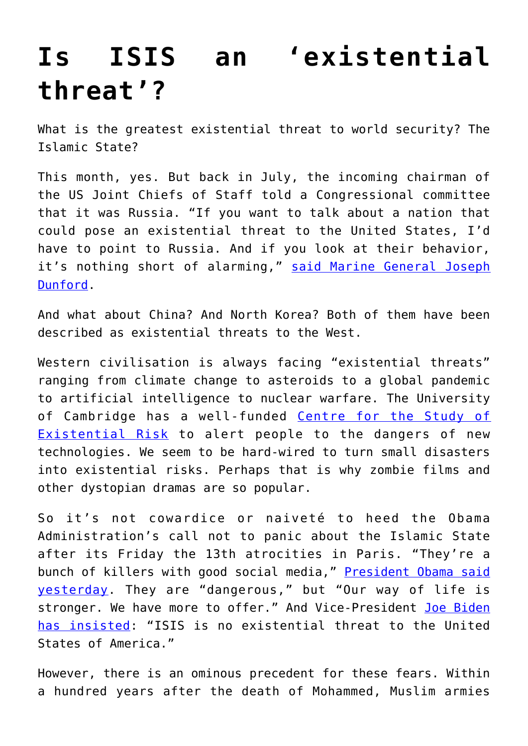## **[Is ISIS an 'existential](https://intellectualtakeout.org/2015/11/is-isis-an-existential-threat/) [threat'?](https://intellectualtakeout.org/2015/11/is-isis-an-existential-threat/)**

What is the greatest existential threat to world security? The Islamic State?

This month, yes. But back in July, the incoming chairman of the US Joint Chiefs of Staff told a Congressional committee that it was Russia. "If you want to talk about a nation that could pose an existential threat to the United States, I'd have to point to Russia. And if you look at their behavior, it's nothing short of alarming," [said Marine General Joseph](http://www.reuters.com/article/2015/07/09/us-usa-defense-generaldunsmore-idUSKCN0PJ28S20150709#woJ6q2ilcK7soX5V.97) [Dunford](http://www.reuters.com/article/2015/07/09/us-usa-defense-generaldunsmore-idUSKCN0PJ28S20150709#woJ6q2ilcK7soX5V.97).

And what about China? And North Korea? Both of them have been described as existential threats to the West.

Western civilisation is always facing "existential threats" ranging from climate change to asteroids to a global pandemic to artificial intelligence to nuclear warfare. The University of Cambridge has a well-funded [Centre for the Study of](http://cser.org/about/our-mission/) [Existential Risk](http://cser.org/about/our-mission/) to alert people to the dangers of new technologies. We seem to be hard-wired to turn small disasters into existential risks. Perhaps that is why zombie films and other dystopian dramas are so popular.

So it's not cowardice or naiveté to heed the Obama Administration's call not to panic about the Islamic State after its Friday the 13th atrocities in Paris. "They're a bunch of killers with good social media," [President Obama said](http://www.politico.com/story/2015/11/obama-isil-terrorism-fear-216130) [yesterday](http://www.politico.com/story/2015/11/obama-isil-terrorism-fear-216130). They are "dangerous," but "Our way of life is stronger. We have more to offer." And Vice-President [Joe Biden](https://www.facebook.com/CBSDFW/videos/1101448999878235/) [has insisted](https://www.facebook.com/CBSDFW/videos/1101448999878235/): "ISIS is no existential threat to the United States of America."

However, there is an ominous precedent for these fears. Within a hundred years after the death of Mohammed, Muslim armies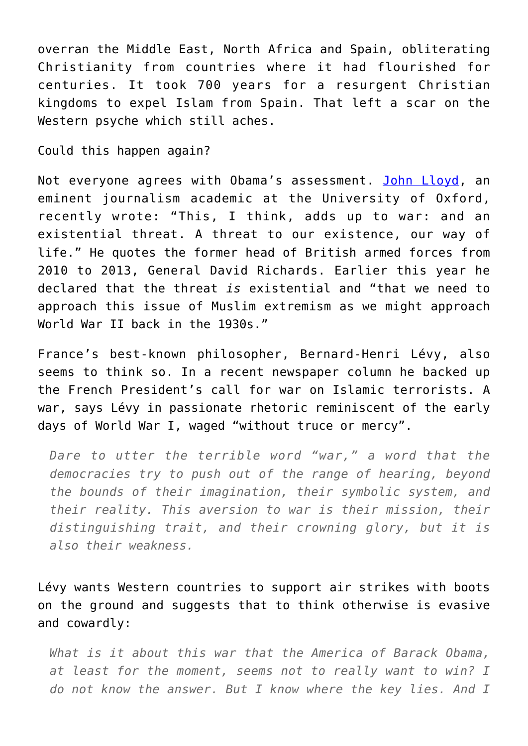overran the Middle East, North Africa and Spain, obliterating Christianity from countries where it had flourished for centuries. It took 700 years for a resurgent Christian kingdoms to expel Islam from Spain. That left a scar on the Western psyche which still aches.

Could this happen again?

Not everyone agrees with Obama's assessment. [John Lloyd,](http://blogs.reuters.com/great-debate/2015/11/18/islamic-state-has-become-a-existential-threat-to-the-west/) an eminent journalism academic at the University of Oxford, recently wrote: "This, I think, adds up to war: and an existential threat. A threat to our existence, our way of life." He quotes the former head of British armed forces from 2010 to 2013, General David Richards. Earlier this year he declared that the threat *is* existential and "that we need to approach this issue of Muslim extremism as we might approach World War II back in the 1930s."

France's best-known philosopher, Bernard-Henri Lévy, also seems to think so. In a recent newspaper column he backed up the French President's call for war on Islamic terrorists. A war, says Lévy in passionate rhetoric reminiscent of the early days of World War I, waged "without truce or mercy".

*Dare to utter the terrible word "war," a word that the democracies try to push out of the range of hearing, beyond the bounds of their imagination, their symbolic system, and their reality. This aversion to war is their mission, their distinguishing trait, and their crowning glory, but it is also their weakness.*

Lévy wants Western countries to support air strikes with boots on the ground and suggests that to think otherwise is evasive and cowardly:

*What is it about this war that the America of Barack Obama, at least for the moment, seems not to really want to win? I do not know the answer. But I know where the key lies. And I*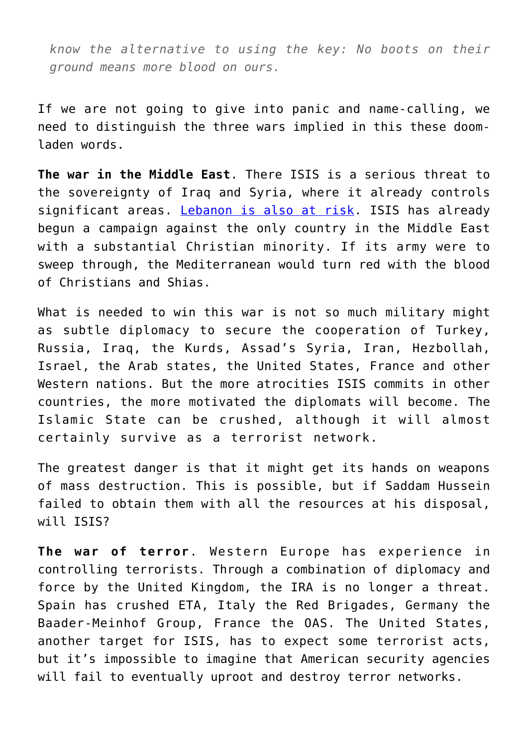*know the alternative to using the key: No boots on their ground means more blood on ours.*

If we are not going to give into panic and name-calling, we need to distinguish the three wars implied in this these doomladen words.

**The war in the Middle East**. There ISIS is a serious threat to the sovereignty of Iraq and Syria, where it already controls significant areas. [Lebanon is also at risk.](https://theconversation.com/islamic-states-beirut-attack-has-exposed-lebanons-perilous-fragility-50671) ISIS has already begun a campaign against the only country in the Middle East with a substantial Christian minority. If its army were to sweep through, the Mediterranean would turn red with the blood of Christians and Shias.

What is needed to win this war is not so much military might as subtle diplomacy to secure the cooperation of Turkey, Russia, Iraq, the Kurds, Assad's Syria, Iran, Hezbollah, Israel, the Arab states, the United States, France and other Western nations. But the more atrocities ISIS commits in other countries, the more motivated the diplomats will become. The Islamic State can be crushed, although it will almost certainly survive as a terrorist network.

The greatest danger is that it might get its hands on weapons of mass destruction. This is possible, but if Saddam Hussein failed to obtain them with all the resources at his disposal, will ISIS?

**The war of terror**. Western Europe has experience in controlling terrorists. Through a combination of diplomacy and force by the United Kingdom, the IRA is no longer a threat. Spain has crushed ETA, Italy the Red Brigades, Germany the Baader-Meinhof Group, France the OAS. The United States, another target for ISIS, has to expect some terrorist acts, but it's impossible to imagine that American security agencies will fail to eventually uproot and destroy terror networks.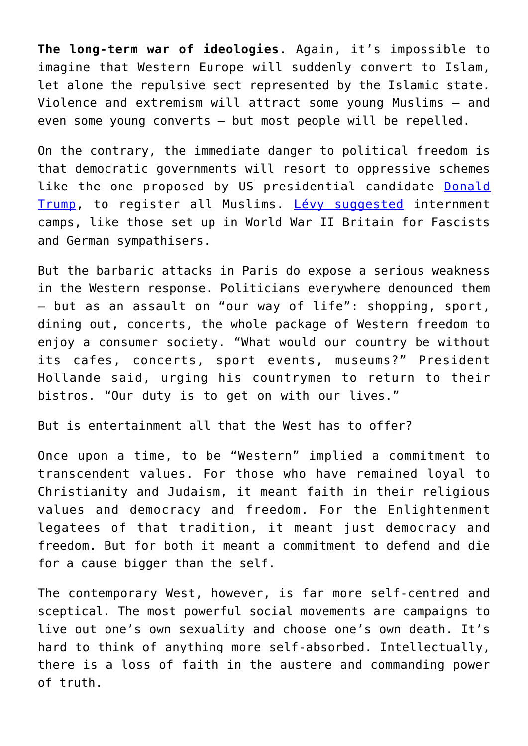**The long-term war of ideologies**. Again, it's impossible to imagine that Western Europe will suddenly convert to Islam, let alone the repulsive sect represented by the Islamic state. Violence and extremism will attract some young Muslims – and even some young converts – but most people will be repelled.

On the contrary, the immediate danger to political freedom is that democratic governments will resort to oppressive schemes like the one proposed by US presidential candidate [Donald](http://www.nytimes.com/2015/11/21/us/politics/donald-trump-sets-off-a-furor-with-call-to-register-muslims-in-the-us.html?_r=0) [Trump](http://www.nytimes.com/2015/11/21/us/politics/donald-trump-sets-off-a-furor-with-call-to-register-muslims-in-the-us.html?_r=0), to register all Muslims. [Lévy suggested](http://www.theglobeandmail.com/globe-debate/thinking-the-unthinkable-this-is-war/article27284617/) internment camps, like those set up in World War II Britain for Fascists and German sympathisers.

But the barbaric attacks in Paris do expose a serious weakness in the Western response. Politicians everywhere denounced them – but as an assault on "our way of life": shopping, sport, dining out, concerts, the whole package of Western freedom to enjoy a consumer society. "What would our country be without its cafes, concerts, sport events, museums?" President Hollande said, urging his countrymen to return to their bistros. "Our duty is to get on with our lives."

But is entertainment all that the West has to offer?

Once upon a time, to be "Western" implied a commitment to transcendent values. For those who have remained loyal to Christianity and Judaism, it meant faith in their religious values and democracy and freedom. For the Enlightenment legatees of that tradition, it meant just democracy and freedom. But for both it meant a commitment to defend and die for a cause bigger than the self.

The contemporary West, however, is far more self-centred and sceptical. The most powerful social movements are campaigns to live out one's own sexuality and choose one's own death. It's hard to think of anything more self-absorbed. Intellectually, there is a loss of faith in the austere and commanding power of truth.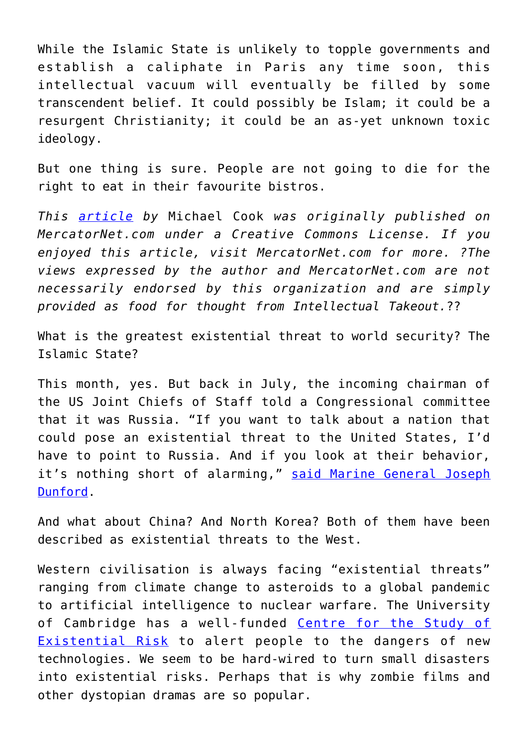While the Islamic State is unlikely to topple governments and establish a caliphate in Paris any time soon, this intellectual vacuum will eventually be filled by some transcendent belief. It could possibly be Islam; it could be a resurgent Christianity; it could be an as-yet unknown toxic ideology.

But one thing is sure. People are not going to die for the right to eat in their favourite bistros.

*This [article](http://www.mercatornet.com/articles/view/is-isis-an-existential-threat/17224) by* Michael Cook *was originally published on MercatorNet.com under a Creative Commons License. If you enjoyed this article, visit MercatorNet.com for more. ?The views expressed by the author and MercatorNet.com are not necessarily endorsed by this organization and are simply provided as food for thought from Intellectual Takeout.*??

What is the greatest existential threat to world security? The Islamic State?

This month, yes. But back in July, the incoming chairman of the US Joint Chiefs of Staff told a Congressional committee that it was Russia. "If you want to talk about a nation that could pose an existential threat to the United States, I'd have to point to Russia. And if you look at their behavior, it's nothing short of alarming," [said Marine General Joseph](http://www.reuters.com/article/2015/07/09/us-usa-defense-generaldunsmore-idUSKCN0PJ28S20150709#woJ6q2ilcK7soX5V.97) [Dunford](http://www.reuters.com/article/2015/07/09/us-usa-defense-generaldunsmore-idUSKCN0PJ28S20150709#woJ6q2ilcK7soX5V.97).

And what about China? And North Korea? Both of them have been described as existential threats to the West.

Western civilisation is always facing "existential threats" ranging from climate change to asteroids to a global pandemic to artificial intelligence to nuclear warfare. The University of Cambridge has a well-funded [Centre for the Study of](http://cser.org/about/our-mission/) [Existential Risk](http://cser.org/about/our-mission/) to alert people to the dangers of new technologies. We seem to be hard-wired to turn small disasters into existential risks. Perhaps that is why zombie films and other dystopian dramas are so popular.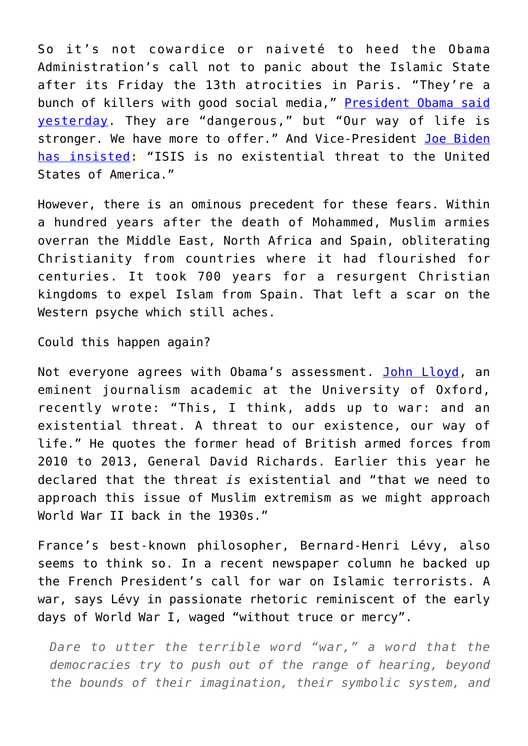So it's not cowardice or naiveté to heed the Obama Administration's call not to panic about the Islamic State after its Friday the 13th atrocities in Paris. "They're a bunch of killers with good social media," [President Obama said](http://www.politico.com/story/2015/11/obama-isil-terrorism-fear-216130) [yesterday](http://www.politico.com/story/2015/11/obama-isil-terrorism-fear-216130). They are "dangerous," but "Our way of life is stronger. We have more to offer." And Vice-President [Joe Biden](https://www.facebook.com/CBSDFW/videos/1101448999878235/) [has insisted](https://www.facebook.com/CBSDFW/videos/1101448999878235/): "ISIS is no existential threat to the United States of America."

However, there is an ominous precedent for these fears. Within a hundred years after the death of Mohammed, Muslim armies overran the Middle East, North Africa and Spain, obliterating Christianity from countries where it had flourished for centuries. It took 700 years for a resurgent Christian kingdoms to expel Islam from Spain. That left a scar on the Western psyche which still aches.

Could this happen again?

Not everyone agrees with Obama's assessment. [John Lloyd,](http://blogs.reuters.com/great-debate/2015/11/18/islamic-state-has-become-a-existential-threat-to-the-west/) an eminent journalism academic at the University of Oxford, recently wrote: "This, I think, adds up to war: and an existential threat. A threat to our existence, our way of life." He quotes the former head of British armed forces from 2010 to 2013, General David Richards. Earlier this year he declared that the threat *is* existential and "that we need to approach this issue of Muslim extremism as we might approach World War II back in the 1930s."

France's best-known philosopher, Bernard-Henri Lévy, also seems to think so. In a recent newspaper column he backed up the French President's call for war on Islamic terrorists. A war, says Lévy in passionate rhetoric reminiscent of the early days of World War I, waged "without truce or mercy".

*Dare to utter the terrible word "war," a word that the democracies try to push out of the range of hearing, beyond the bounds of their imagination, their symbolic system, and*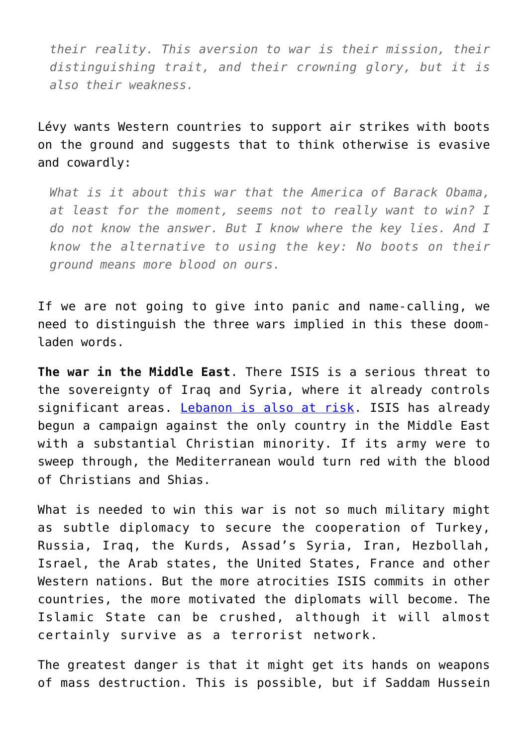*their reality. This aversion to war is their mission, their distinguishing trait, and their crowning glory, but it is also their weakness.*

Lévy wants Western countries to support air strikes with boots on the ground and suggests that to think otherwise is evasive and cowardly:

*What is it about this war that the America of Barack Obama, at least for the moment, seems not to really want to win? I do not know the answer. But I know where the key lies. And I know the alternative to using the key: No boots on their ground means more blood on ours.*

If we are not going to give into panic and name-calling, we need to distinguish the three wars implied in this these doomladen words.

**The war in the Middle East**. There ISIS is a serious threat to the sovereignty of Iraq and Syria, where it already controls significant areas. [Lebanon is also at risk.](https://theconversation.com/islamic-states-beirut-attack-has-exposed-lebanons-perilous-fragility-50671) ISIS has already begun a campaign against the only country in the Middle East with a substantial Christian minority. If its army were to sweep through, the Mediterranean would turn red with the blood of Christians and Shias.

What is needed to win this war is not so much military might as subtle diplomacy to secure the cooperation of Turkey, Russia, Iraq, the Kurds, Assad's Syria, Iran, Hezbollah, Israel, the Arab states, the United States, France and other Western nations. But the more atrocities ISIS commits in other countries, the more motivated the diplomats will become. The Islamic State can be crushed, although it will almost certainly survive as a terrorist network.

The greatest danger is that it might get its hands on weapons of mass destruction. This is possible, but if Saddam Hussein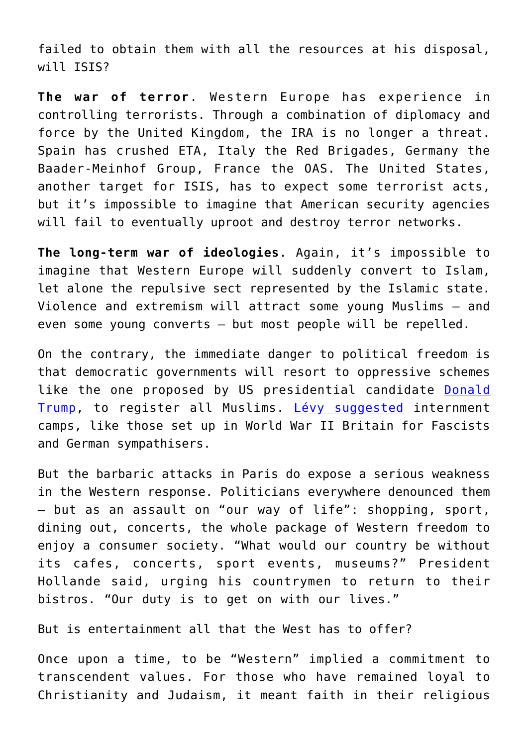failed to obtain them with all the resources at his disposal, will ISIS?

**The war of terror**. Western Europe has experience in controlling terrorists. Through a combination of diplomacy and force by the United Kingdom, the IRA is no longer a threat. Spain has crushed ETA, Italy the Red Brigades, Germany the Baader-Meinhof Group, France the OAS. The United States, another target for ISIS, has to expect some terrorist acts, but it's impossible to imagine that American security agencies will fail to eventually uproot and destroy terror networks.

**The long-term war of ideologies**. Again, it's impossible to imagine that Western Europe will suddenly convert to Islam, let alone the repulsive sect represented by the Islamic state. Violence and extremism will attract some young Muslims – and even some young converts – but most people will be repelled.

On the contrary, the immediate danger to political freedom is that democratic governments will resort to oppressive schemes like the one proposed by US presidential candidate [Donald](http://www.nytimes.com/2015/11/21/us/politics/donald-trump-sets-off-a-furor-with-call-to-register-muslims-in-the-us.html?_r=0) [Trump](http://www.nytimes.com/2015/11/21/us/politics/donald-trump-sets-off-a-furor-with-call-to-register-muslims-in-the-us.html?_r=0), to register all Muslims. [Lévy suggested](http://www.theglobeandmail.com/globe-debate/thinking-the-unthinkable-this-is-war/article27284617/) internment camps, like those set up in World War II Britain for Fascists and German sympathisers.

But the barbaric attacks in Paris do expose a serious weakness in the Western response. Politicians everywhere denounced them – but as an assault on "our way of life": shopping, sport, dining out, concerts, the whole package of Western freedom to enjoy a consumer society. "What would our country be without its cafes, concerts, sport events, museums?" President Hollande said, urging his countrymen to return to their bistros. "Our duty is to get on with our lives."

But is entertainment all that the West has to offer?

Once upon a time, to be "Western" implied a commitment to transcendent values. For those who have remained loyal to Christianity and Judaism, it meant faith in their religious